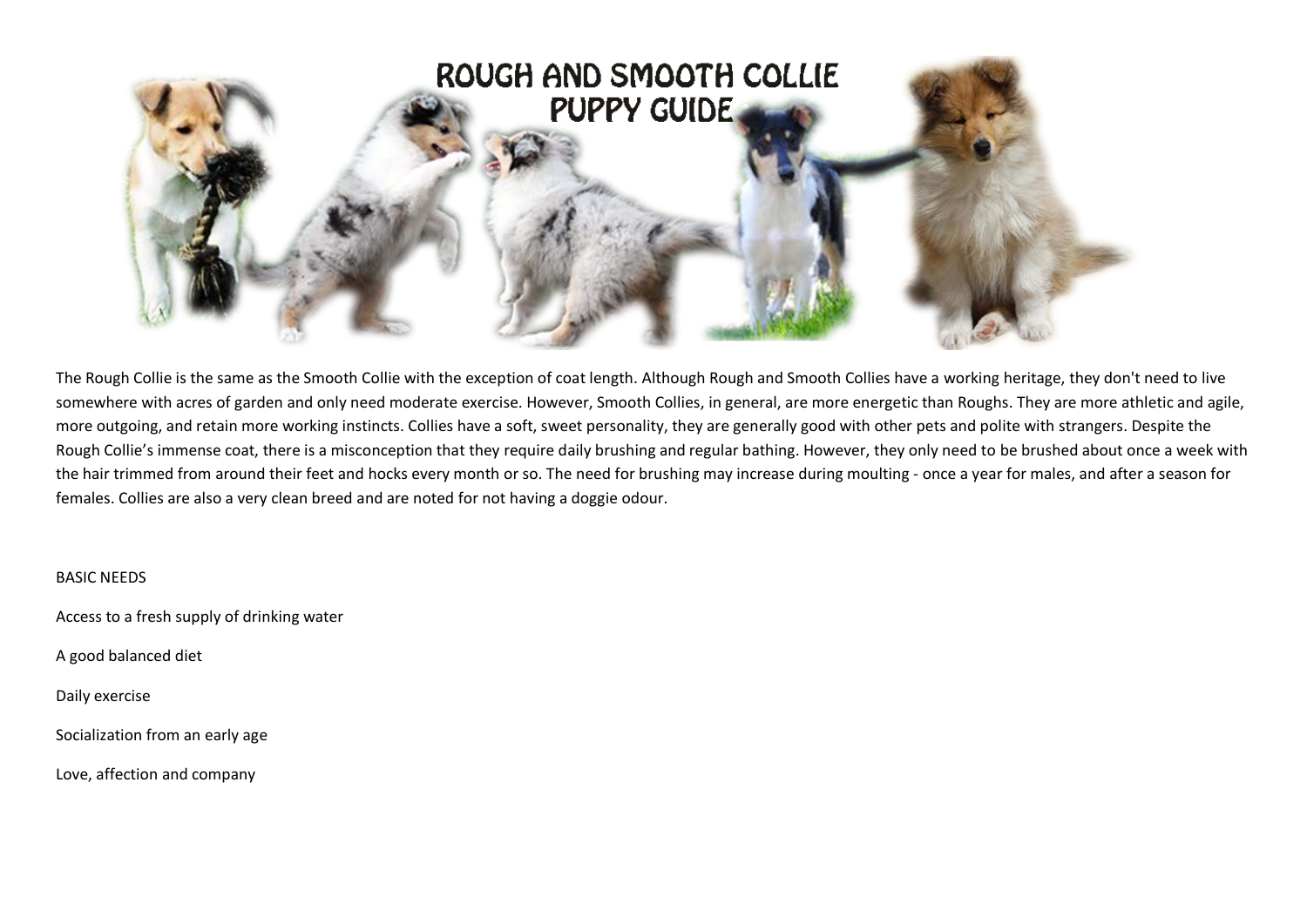

The Rough Collie is the same as the Smooth Collie with the exception of coat length. Although Rough and Smooth Collies have a working heritage, they don't need to live somewhere with acres of garden and only need moderate exercise. However, Smooth Collies, in general, are more energetic than Roughs. They are more athletic and agile, more outgoing, and retain more working instincts. Collies have a soft, sweet personality, they are generally good with other pets and polite with strangers. Despite the Rough Collie's immense coat, there is a misconception that they require daily brushing and regular bathing. However, they only need to be brushed about once a week with the hair trimmed from around their feet and hocks every month or so. The need for brushing may increase during moulting - once a year for males, and after a season for females. Collies are also a very clean breed and are noted for not having a doggie odour.

### BASIC NEEDS

Access to a fresh supply of drinking water

A good balanced diet

Daily exercise

Socialization from an early age

Love, affection and company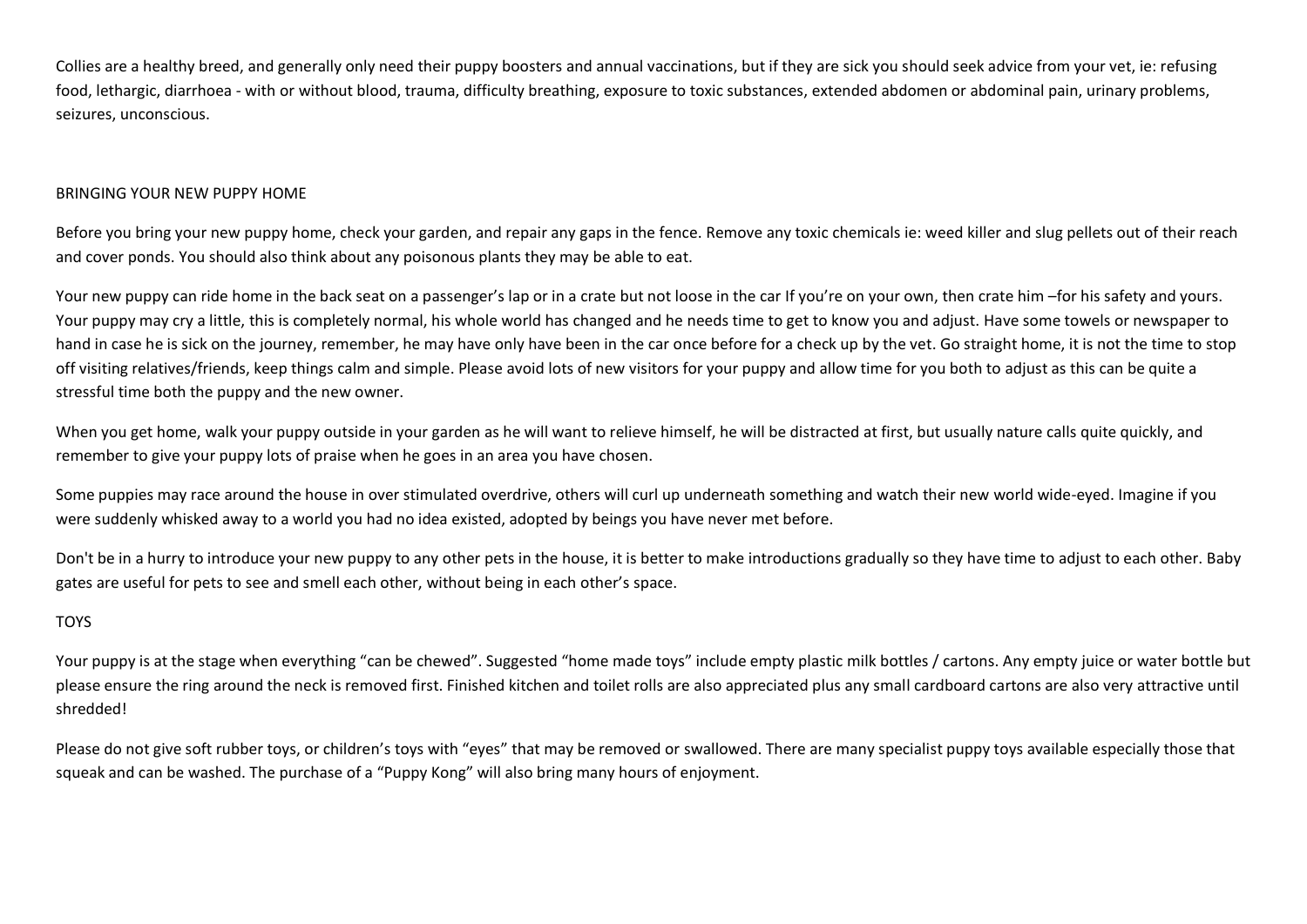Collies are a healthy breed, and generally only need their puppy boosters and annual vaccinations, but if they are sick you should seek advice from your vet, ie: refusing food, lethargic, diarrhoea - with or without blood, trauma, difficulty breathing, exposure to toxic substances, extended abdomen or abdominal pain, urinary problems, seizures, unconscious.

### BRINGING YOUR NEW PUPPY HOME

Before you bring your new puppy home, check your garden, and repair any gaps in the fence. Remove any toxic chemicals ie: weed killer and slug pellets out of their reach and cover ponds. You should also think about any poisonous plants they may be able to eat.

Your new puppy can ride home in the back seat on a passenger's lap or in a crate but not loose in the car If you're on your own, then crate him –for his safety and yours. Your puppy may cry a little, this is completely normal, his whole world has changed and he needs time to get to know you and adjust. Have some towels or newspaper to hand in case he is sick on the journey, remember, he may have only have been in the car once before for a check up by the vet. Go straight home, it is not the time to stop off visiting relatives/friends, keep things calm and simple. Please avoid lots of new visitors for your puppy and allow time for you both to adjust as this can be quite a stressful time both the puppy and the new owner.

When you get home, walk your puppy outside in your garden as he will want to relieve himself, he will be distracted at first, but usually nature calls quite quickly, and remember to give your puppy lots of praise when he goes in an area you have chosen.

Some puppies may race around the house in over stimulated overdrive, others will curl up underneath something and watch their new world wide-eyed. Imagine if you were suddenly whisked away to a world you had no idea existed, adopted by beings you have never met before.

Don't be in a hurry to introduce your new puppy to any other pets in the house, it is better to make introductions gradually so they have time to adjust to each other. Baby gates are useful for pets to see and smell each other, without being in each other's space.

# TOYS

Your puppy is at the stage when everything "can be chewed". Suggested "home made toys" include empty plastic milk bottles / cartons. Any empty juice or water bottle but please ensure the ring around the neck is removed first. Finished kitchen and toilet rolls are also appreciated plus any small cardboard cartons are also very attractive until shredded!

Please do not give soft rubber toys, or children's toys with "eyes" that may be removed or swallowed. There are many specialist puppy toys available especially those that squeak and can be washed. The purchase of a "Puppy Kong" will also bring many hours of enjoyment.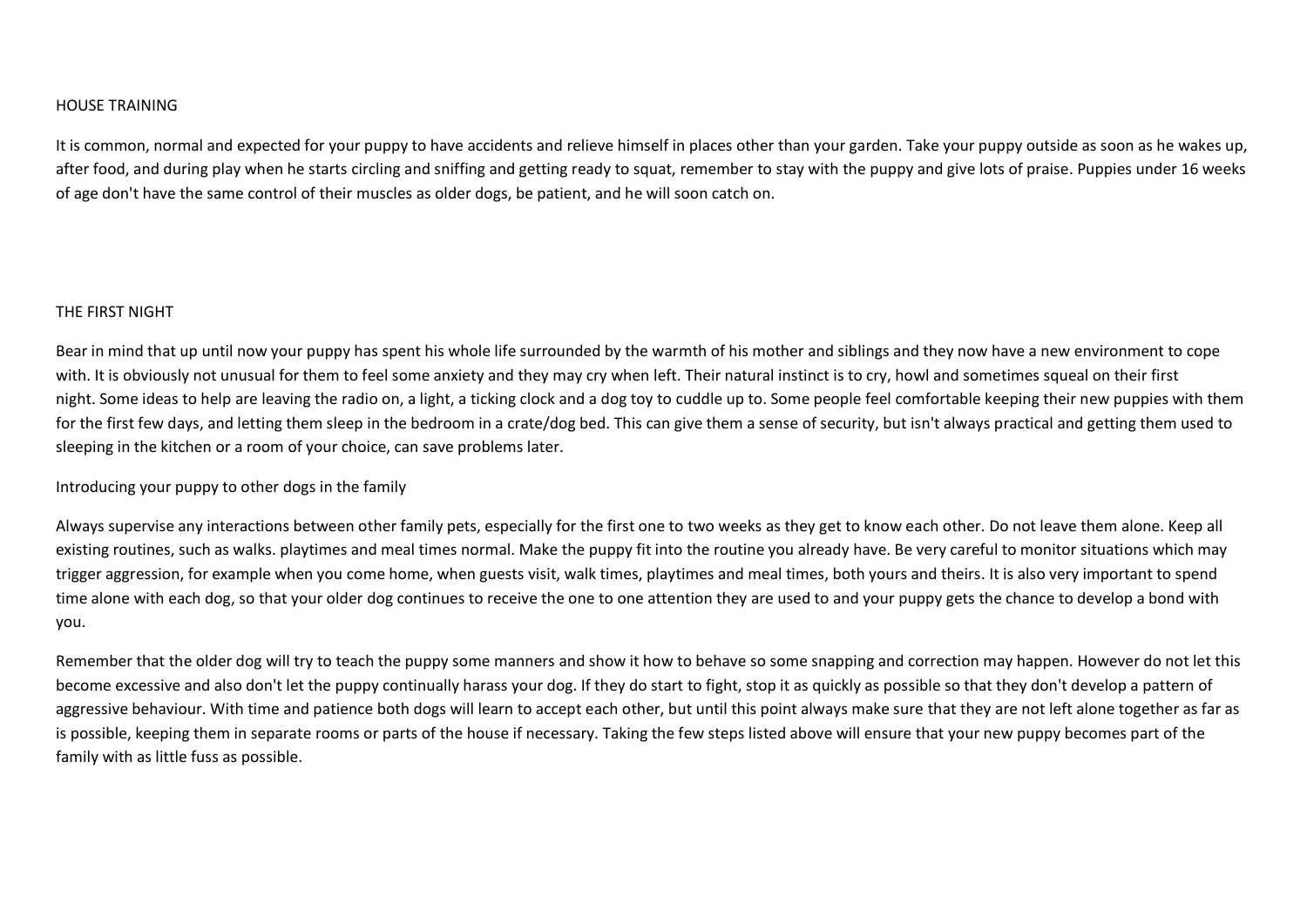#### HOUSE TRAINING

It is common, normal and expected for your puppy to have accidents and relieve himself in places other than your garden. Take your puppy outside as soon as he wakes up, after food, and during play when he starts circling and sniffing and getting ready to squat, remember to stay with the puppy and give lots of praise. Puppies under 16 weeks of age don't have the same control of their muscles as older dogs, be patient, and he will soon catch on.

#### THE FIRST NIGHT

Bear in mind that up until now your puppy has spent his whole life surrounded by the warmth of his mother and siblings and they now have a new environment to cope with. It is obviously not unusual for them to feel some anxiety and they may cry when left. Their natural instinct is to cry, howl and sometimes squeal on their first night. Some ideas to help are leaving the radio on, a light, a ticking clock and a dog toy to cuddle up to. Some people feel comfortable keeping their new puppies with them for the first few days, and letting them sleep in the bedroom in a crate/dog bed. This can give them a sense of security, but isn't always practical and getting them used to sleeping in the kitchen or a room of your choice, can save problems later.

Introducing your puppy to other dogs in the family

Always supervise any interactions between other family pets, especially for the first one to two weeks as they get to know each other. Do not leave them alone. Keep all existing routines, such as walks. playtimes and meal times normal. Make the puppy fit into the routine you already have. Be very careful to monitor situations which may trigger aggression, for example when you come home, when guests visit, walk times, playtimes and meal times, both yours and theirs. It is also very important to spend time alone with each dog, so that your older dog continues to receive the one to one attention they are used to and your puppy gets the chance to develop a bond with you.

Remember that the older dog will try to teach the puppy some manners and show it how to behave so some snapping and correction may happen. However do not let this become excessive and also don't let the puppy continually harass your dog. If they do start to fight, stop it as quickly as possible so that they don't develop a pattern of aggressive behaviour. With time and patience both dogs will learn to accept each other, but until this point always make sure that they are not left alone together as far as is possible, keeping them in separate rooms or parts of the house if necessary. Taking the few steps listed above will ensure that your new puppy becomes part of the family with as little fuss as possible.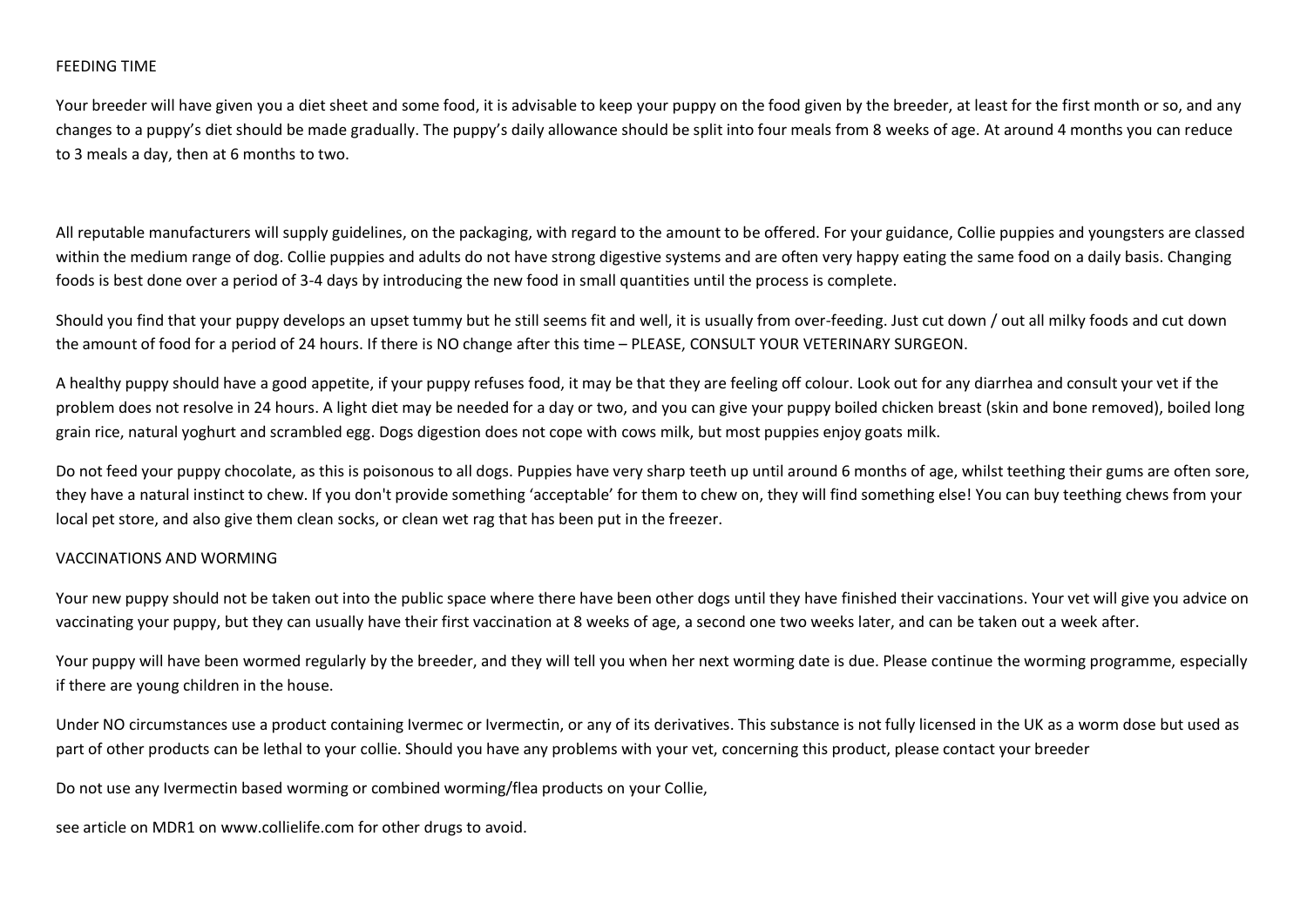### FEEDING TIME

Your breeder will have given you a diet sheet and some food, it is advisable to keep your puppy on the food given by the breeder, at least for the first month or so, and any changes to a puppy's diet should be made gradually. The puppy's daily allowance should be split into four meals from 8 weeks of age. At around 4 months you can reduce to 3 meals a day, then at 6 months to two.

All reputable manufacturers will supply guidelines, on the packaging, with regard to the amount to be offered. For your guidance, Collie puppies and youngsters are classed within the medium range of dog. Collie puppies and adults do not have strong digestive systems and are often very happy eating the same food on a daily basis. Changing foods is best done over a period of 3-4 days by introducing the new food in small quantities until the process is complete.

Should you find that your puppy develops an upset tummy but he still seems fit and well, it is usually from over-feeding. Just cut down / out all milky foods and cut down the amount of food for a period of 24 hours. If there is NO change after this time – PLEASE, CONSULT YOUR VETERINARY SURGEON.

A healthy puppy should have a good appetite, if your puppy refuses food, it may be that they are feeling off colour. Look out for any diarrhea and consult your vet if the problem does not resolve in 24 hours. A light diet may be needed for a day or two, and you can give your puppy boiled chicken breast (skin and bone removed), boiled long grain rice, natural yoghurt and scrambled egg. Dogs digestion does not cope with cows milk, but most puppies enjoy goats milk.

Do not feed your puppy chocolate, as this is poisonous to all dogs. Puppies have very sharp teeth up until around 6 months of age, whilst teething their gums are often sore, they have a natural instinct to chew. If you don't provide something 'acceptable' for them to chew on, they will find something else! You can buy teething chews from your local pet store, and also give them clean socks, or clean wet rag that has been put in the freezer.

### VACCINATIONS AND WORMING

Your new puppy should not be taken out into the public space where there have been other dogs until they have finished their vaccinations. Your vet will give you advice on vaccinating your puppy, but they can usually have their first vaccination at 8 weeks of age, a second one two weeks later, and can be taken out a week after.

Your puppy will have been wormed regularly by the breeder, and they will tell you when her next worming date is due. Please continue the worming programme, especially if there are young children in the house.

Under NO circumstances use a product containing Ivermec or Ivermectin, or any of its derivatives. This substance is not fully licensed in the UK as a worm dose but used as part of other products can be lethal to your collie. Should you have any problems with your vet, concerning this product, please contact your breeder

Do not use any Ivermectin based worming or combined worming/flea products on your Collie,

see article on MDR1 on www.collielife.com for other drugs to avoid.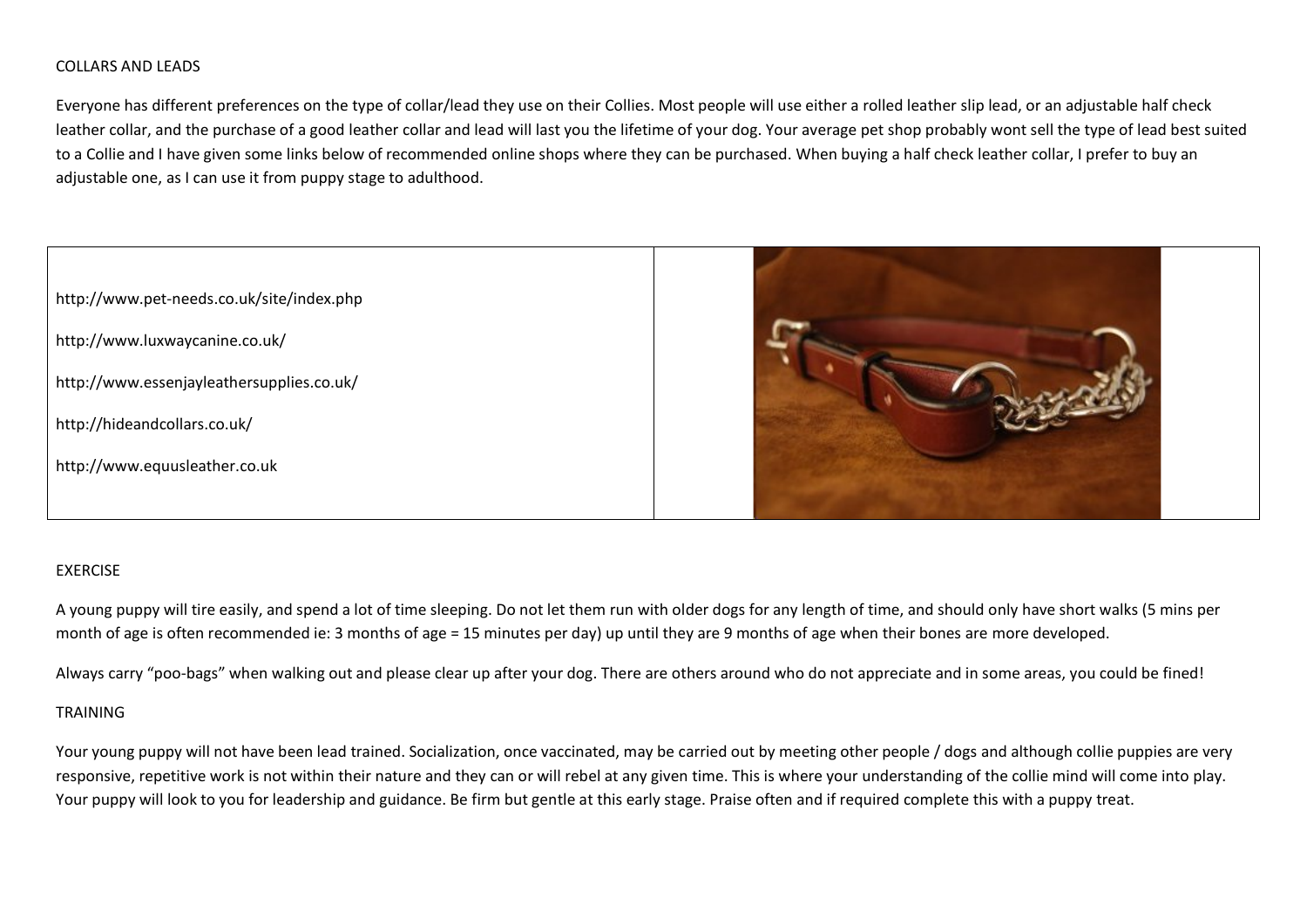### COLLARS AND LEADS

Everyone has different preferences on the type of collar/lead they use on their Collies. Most people will use either a rolled leather slip lead, or an adjustable half check leather collar, and the purchase of a good leather collar and lead will last you the lifetime of your dog. Your average pet shop probably wont sell the type of lead best suited to a Collie and I have given some links below of recommended online shops where they can be purchased. When buying a half check leather collar, I prefer to buy an adjustable one, as I can use it from puppy stage to adulthood.



#### EXERCISE

A young puppy will tire easily, and spend a lot of time sleeping. Do not let them run with older dogs for any length of time, and should only have short walks (5 mins per month of age is often recommended ie: 3 months of age = 15 minutes per day) up until they are 9 months of age when their bones are more developed.

Always carry "poo-bags" when walking out and please clear up after your dog. There are others around who do not appreciate and in some areas, you could be fined!

### TRAINING

Your young puppy will not have been lead trained. Socialization, once vaccinated, may be carried out by meeting other people / dogs and although collie puppies are very responsive, repetitive work is not within their nature and they can or will rebel at any given time. This is where your understanding of the collie mind will come into play. Your puppy will look to you for leadership and guidance. Be firm but gentle at this early stage. Praise often and if required complete this with a puppy treat.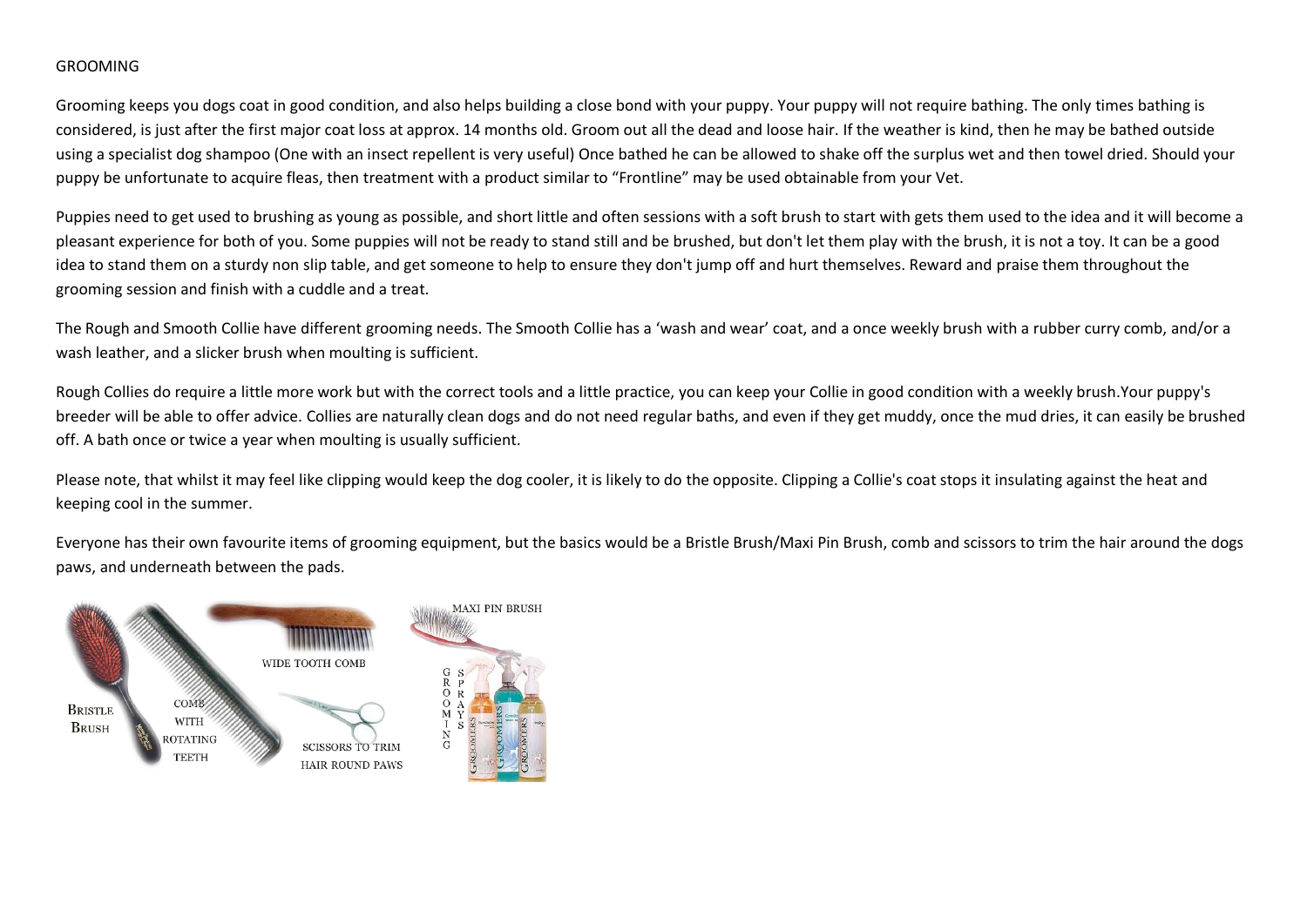## GROOMING

Grooming keeps you dogs coat in good condition, and also helps building a close bond with your puppy. Your puppy will not require bathing. The only times bathing is considered, is just after the first major coat loss at approx. 14 months old. Groom out all the dead and loose hair. If the weather is kind, then he may be bathed outside using a specialist dog shampoo (One with an insect repellent is very useful) Once bathed he can be allowed to shake off the surplus wet and then towel dried. Should your puppy be unfortunate to acquire fleas, then treatment with a product similar to "Frontline" may be used obtainable from your Vet.

Puppies need to get used to brushing as young as possible, and short little and often sessions with a soft brush to start with gets them used to the idea and it will become a pleasant experience for both of you. Some puppies will not be ready to stand still and be brushed, but don't let them play with the brush, it is not a toy. It can be a good idea to stand them on a sturdy non slip table, and get someone to help to ensure they don't jump off and hurt themselves. Reward and praise them throughout the grooming session and finish with a cuddle and a treat.

The Rough and Smooth Collie have different grooming needs. The Smooth Collie has a 'wash and wear' coat, and a once weekly brush with a rubber curry comb, and/or a wash leather, and a slicker brush when moulting is sufficient.

Rough Collies do require a little more work but with the correct tools and a little practice, you can keep your Collie in good condition with a weekly brush.Your puppy's breeder will be able to offer advice. Collies are naturally clean dogs and do not need regular baths, and even if they get muddy, once the mud dries, it can easily be brushed off. A bath once or twice a year when moulting is usually sufficient.

Please note, that whilst it may feel like clipping would keep the dog cooler, it is likely to do the opposite. Clipping a Collie's coat stops it insulating against the heat and keeping cool in the summer.

Everyone has their own favourite items of grooming equipment, but the basics would be a Bristle Brush/Maxi Pin Brush, comb and scissors to trim the hair around the dogs paws, and underneath between the pads.